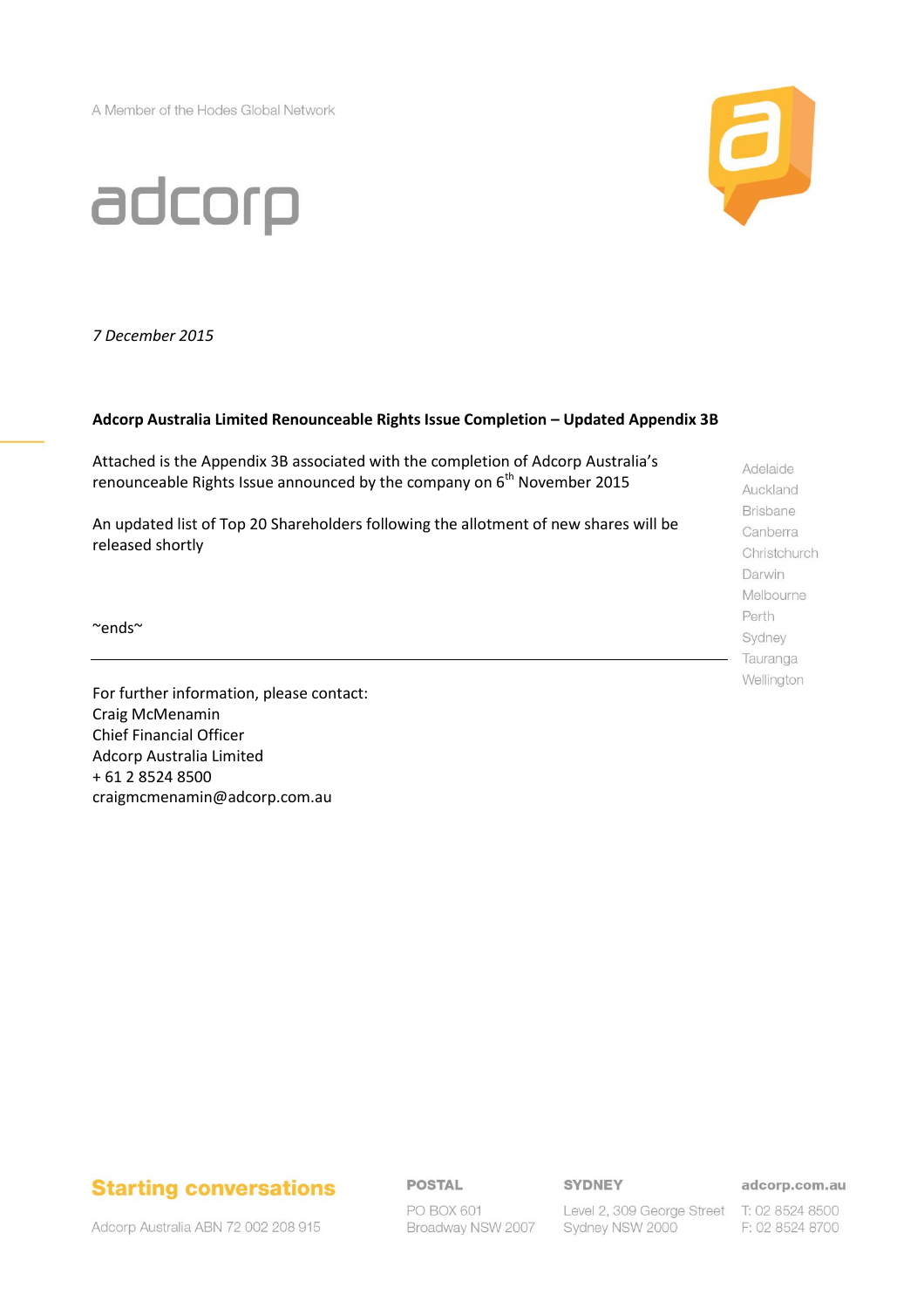A Member of the Hodes Global Network



# adcorp

*7 December 2015*

#### **Adcorp Australia Limited Renounceable Rights Issue Completion – Updated Appendix 3B**

Attached is the Appendix 3B associated with the completion of Adcorp Australia's renounceable Rights Issue announced by the company on  $6<sup>th</sup>$  November 2015

An updated list of Top 20 Shareholders following the allotment of new shares will be released shortly

~ends~

For further information, please contact: Craig McMenamin Chief Financial Officer Adcorp Australia Limited + 61 2 8524 8500 craigmcmenamin@adcorp.com.au

Adelaide Auckland **Brisbane** Canberra Christchurch Darwin Melbourne Perth Sydney Tauranga Wellington

## **Starting conversations**

**POSTAL** 

**SYDNEY** 

adcorp.com.au

Adcorp Australia ABN 72 002 208 915

PO BOX 601 Broadway NSW 2007

Level 2, 309 George Street T: 02 8524 8500 Sydney NSW 2000

F: 02 8524 8700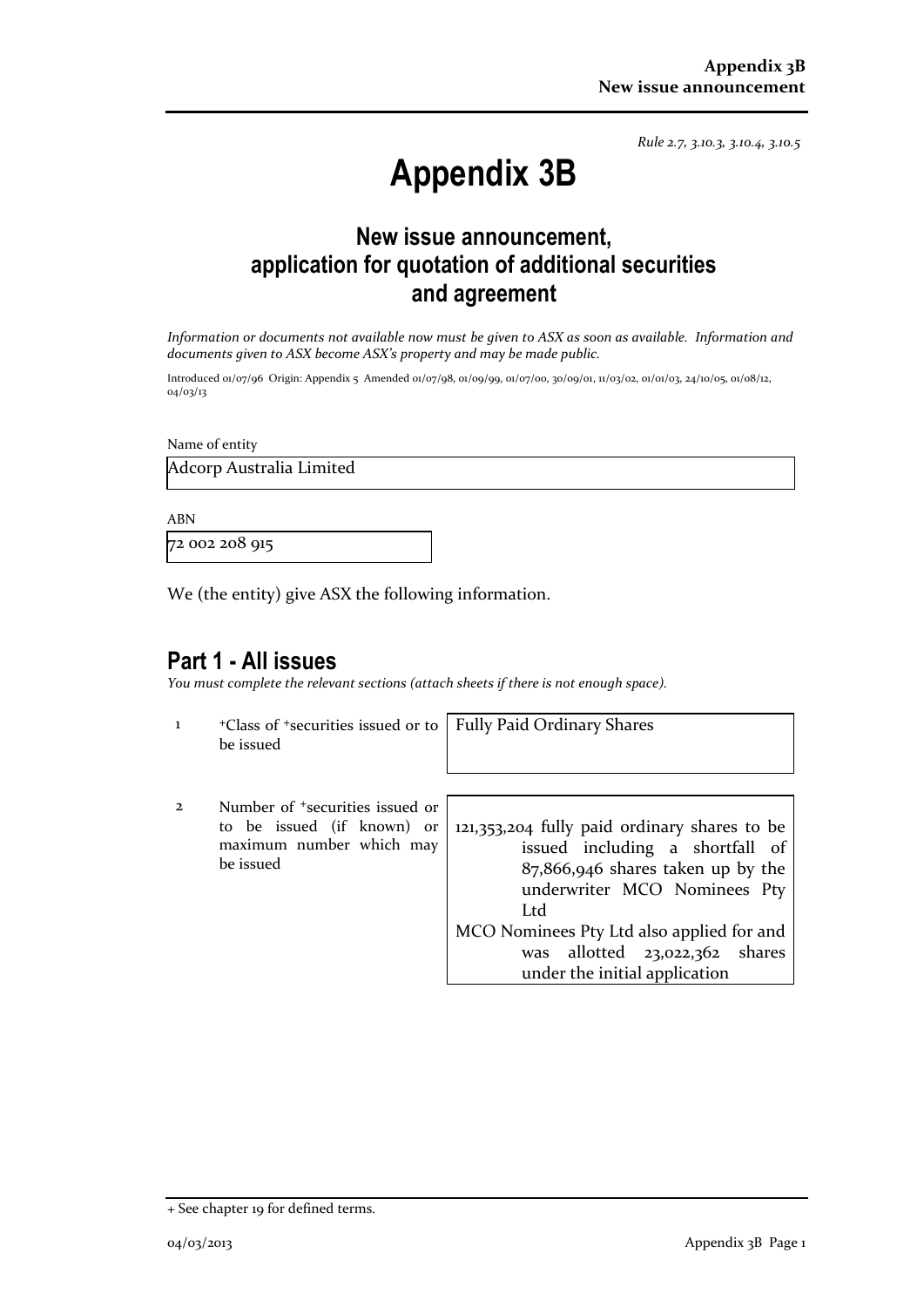*Rule 2.7, 3.10.3, 3.10.4, 3.10.5*

## **Appendix 3B**

## **New issue announcement, application for quotation of additional securities and agreement**

*Information or documents not available now must be given to ASX as soon as available. Information and documents given to ASX become ASX's property and may be made public.*

Introduced 01/07/96 Origin: Appendix 5 Amended 01/07/98, 01/09/99, 01/07/00, 30/09/01, 11/03/02, 01/01/03, 24/10/05, 01/08/12, 04/03/13

Name of entity

Adcorp Australia Limited

ABN

72 002 208 915

We (the entity) give ASX the following information.

## **Part 1 - All issues**

*You must complete the relevant sections (attach sheets if there is not enough space).*

1 <sup>+</sup>Class of +securities issued or to be issued

Fully Paid Ordinary Shares

2 Number of +securities issued or to be issued (if known) or maximum number which may be issued

121,353,204 fully paid ordinary shares to be issued including a shortfall of 87,866,946 shares taken up by the underwriter MCO Nominees Pty Ltd MCO Nominees Pty Ltd also applied for and was allotted 23,022,362 shares

under the initial application

<sup>+</sup> See chapter 19 for defined terms.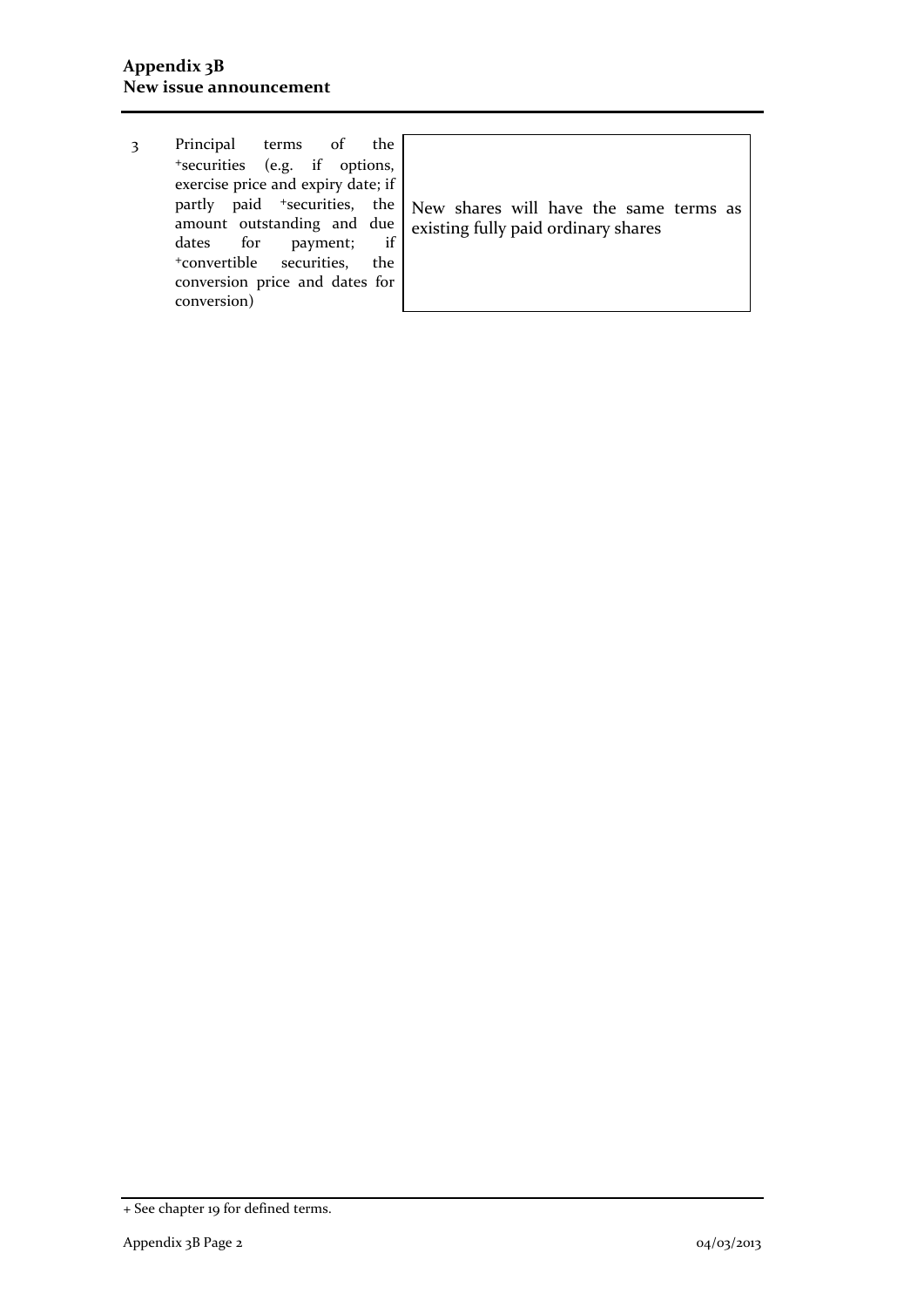3 Principal terms of the <sup>+</sup>securities (e.g. if options, exercise price and expiry date; if partly paid <sup>+</sup>securities, the amount outstanding and due dates for payment; if<br>
<sup>+</sup>convertible securities, the +convertible securities, conversion price and dates for conversion) New shares will have the same terms as existing fully paid ordinary shares

<sup>+</sup> See chapter 19 for defined terms.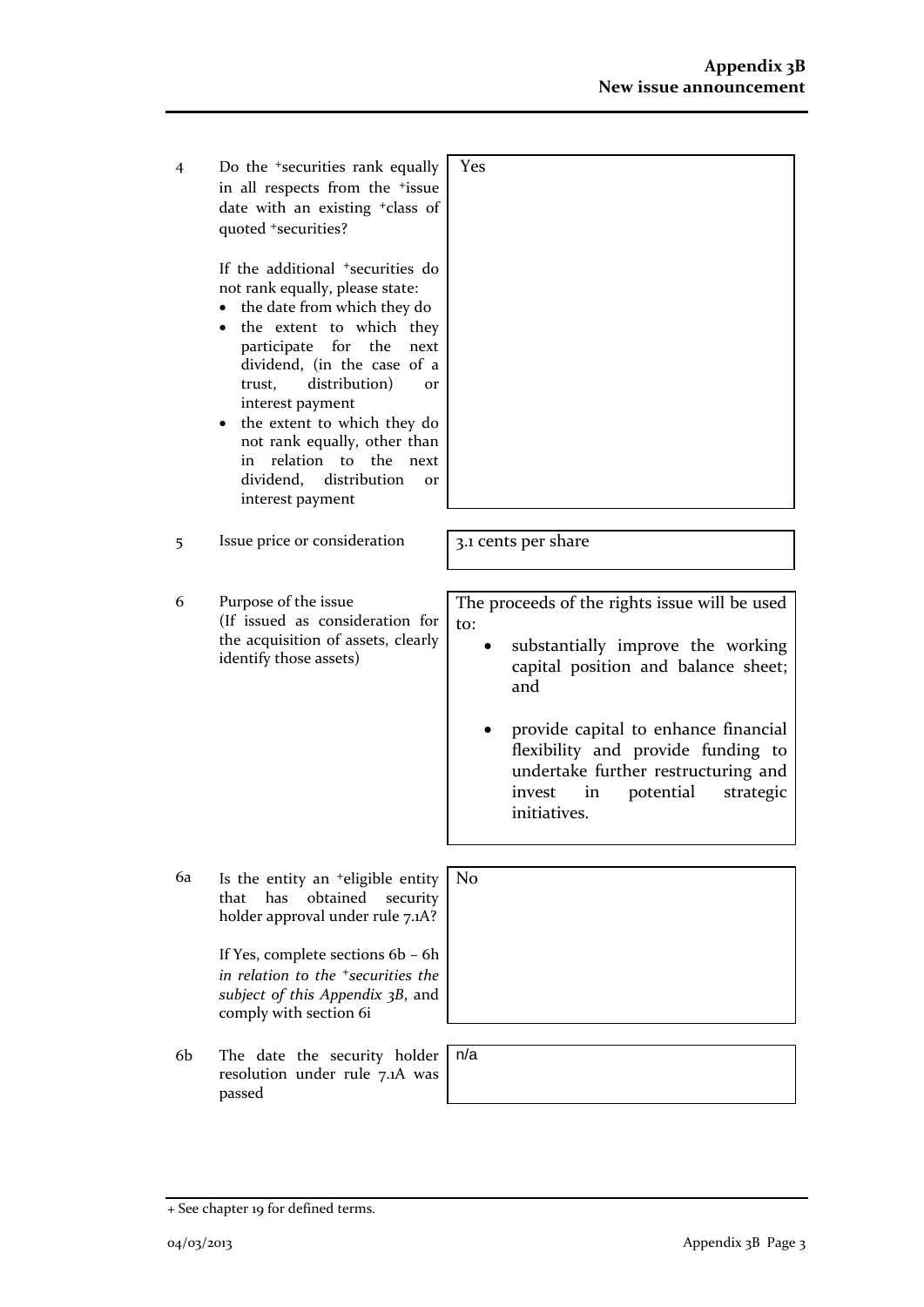| 4  | Do the <sup>+</sup> securities rank equally<br>in all respects from the <sup>+</sup> issue<br>date with an existing <sup>+</sup> class of<br>quoted +securities?<br>If the additional <sup>+</sup> securities do<br>not rank equally, please state:<br>the date from which they do<br>the extent to which they<br>٠<br>participate<br>for<br>the<br>next<br>dividend, (in the case of a<br>distribution)<br>trust,<br><b>Or</b><br>interest payment<br>• the extent to which they do<br>not rank equally, other than<br>relation to the<br>next<br>in<br>dividend, distribution<br><b>Or</b><br>interest payment | Yes                                                                                                                                                                                                                                                                                                                    |
|----|------------------------------------------------------------------------------------------------------------------------------------------------------------------------------------------------------------------------------------------------------------------------------------------------------------------------------------------------------------------------------------------------------------------------------------------------------------------------------------------------------------------------------------------------------------------------------------------------------------------|------------------------------------------------------------------------------------------------------------------------------------------------------------------------------------------------------------------------------------------------------------------------------------------------------------------------|
| 5  | Issue price or consideration                                                                                                                                                                                                                                                                                                                                                                                                                                                                                                                                                                                     | 3.1 cents per share                                                                                                                                                                                                                                                                                                    |
| 6  | Purpose of the issue<br>(If issued as consideration for<br>the acquisition of assets, clearly<br>identify those assets)                                                                                                                                                                                                                                                                                                                                                                                                                                                                                          | The proceeds of the rights issue will be used<br>to:<br>substantially improve the working<br>capital position and balance sheet;<br>and<br>provide capital to enhance financial<br>flexibility and provide funding to<br>undertake further restructuring and<br>invest<br>in<br>potential<br>strategic<br>initiatives. |
| 6a | Is the entity an <sup>+</sup> eligible entity<br>obtained<br>has<br>security<br>that<br>holder approval under rule 7.1A?<br>If Yes, complete sections 6b - 6h<br>in relation to the <sup>+</sup> securities the<br>subject of this Appendix 3B, and<br>comply with section 6i                                                                                                                                                                                                                                                                                                                                    | N <sub>0</sub>                                                                                                                                                                                                                                                                                                         |
| 6b | The date the security holder<br>resolution under rule 7.1A was<br>passed                                                                                                                                                                                                                                                                                                                                                                                                                                                                                                                                         | n/a                                                                                                                                                                                                                                                                                                                    |

<sup>+</sup> See chapter 19 for defined terms.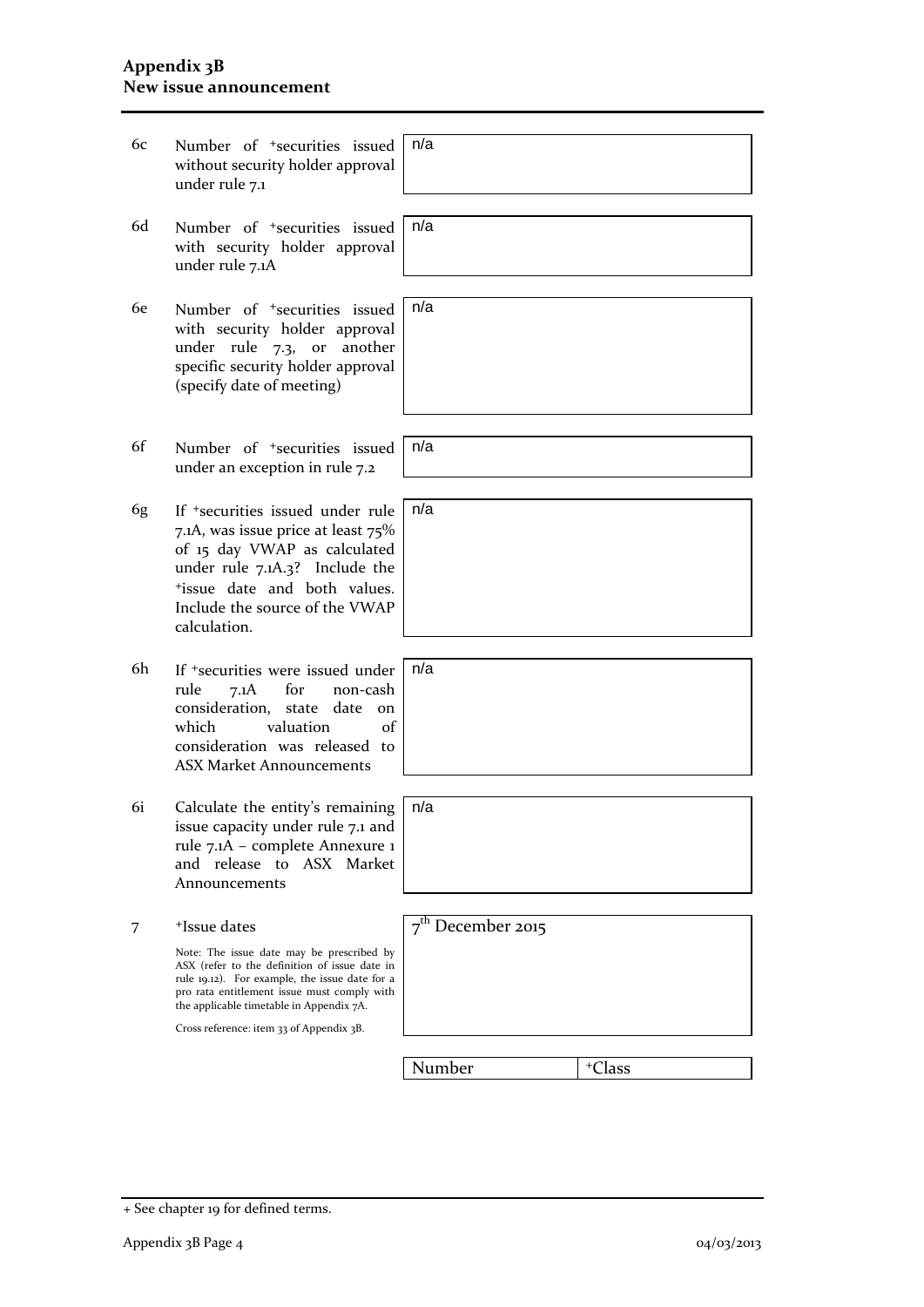#### **Appendix 3B New issue announcement**

| 6с        | Number of <sup>+</sup> securities issued<br>without security holder approval<br>under rule 7.1                                                                                                                                                     | n/a                 |                    |
|-----------|----------------------------------------------------------------------------------------------------------------------------------------------------------------------------------------------------------------------------------------------------|---------------------|--------------------|
| 6d        | Number of <sup>+</sup> securities issued<br>with security holder approval<br>under rule 7.1A                                                                                                                                                       | n/a                 |                    |
| <b>6e</b> | Number of <sup>+</sup> securities issued<br>with security holder approval<br>under rule 7.3,<br>another<br>or<br>specific security holder approval<br>(specify date of meeting)                                                                    | n/a                 |                    |
| 6f        | Number of <sup>+</sup> securities issued<br>under an exception in rule 7.2                                                                                                                                                                         | n/a                 |                    |
| 6g        | If <sup>+</sup> securities issued under rule<br>7.1A, was issue price at least 75%<br>of 15 day VWAP as calculated<br>under rule 7.1A.3? Include the<br><sup>+</sup> issue date and both values.<br>Include the source of the VWAP<br>calculation. | n/a                 |                    |
| 6h        | If <sup>+</sup> securities were issued under<br>rule<br>7.1A<br>for<br>non-cash<br>consideration,<br>date<br>state<br>$_{\rm on}$<br>valuation<br>$\alpha$ f<br>which<br>consideration was released to<br><b>ASX Market Announcements</b>          | n/a                 |                    |
| 6i        | Calculate the entity's remaining<br>issue capacity under rule 7.1 and<br>rule 7.1A - complete Annexure 1<br>and release<br>to ASX Market<br>Announcements                                                                                          | n/a                 |                    |
| 7         | <sup>+</sup> Issue dates                                                                                                                                                                                                                           | $7th$ December 2015 |                    |
|           | Note: The issue date may be prescribed by<br>ASX (refer to the definition of issue date in<br>rule 19.12). For example, the issue date for a<br>pro rata entitlement issue must comply with<br>the applicable timetable in Appendix 7A.            |                     |                    |
|           | Cross reference: item 33 of Appendix 3B.                                                                                                                                                                                                           |                     |                    |
|           |                                                                                                                                                                                                                                                    | Number              | <sup>+</sup> Class |
|           |                                                                                                                                                                                                                                                    |                     |                    |
|           |                                                                                                                                                                                                                                                    |                     |                    |

<sup>+</sup> See chapter 19 for defined terms.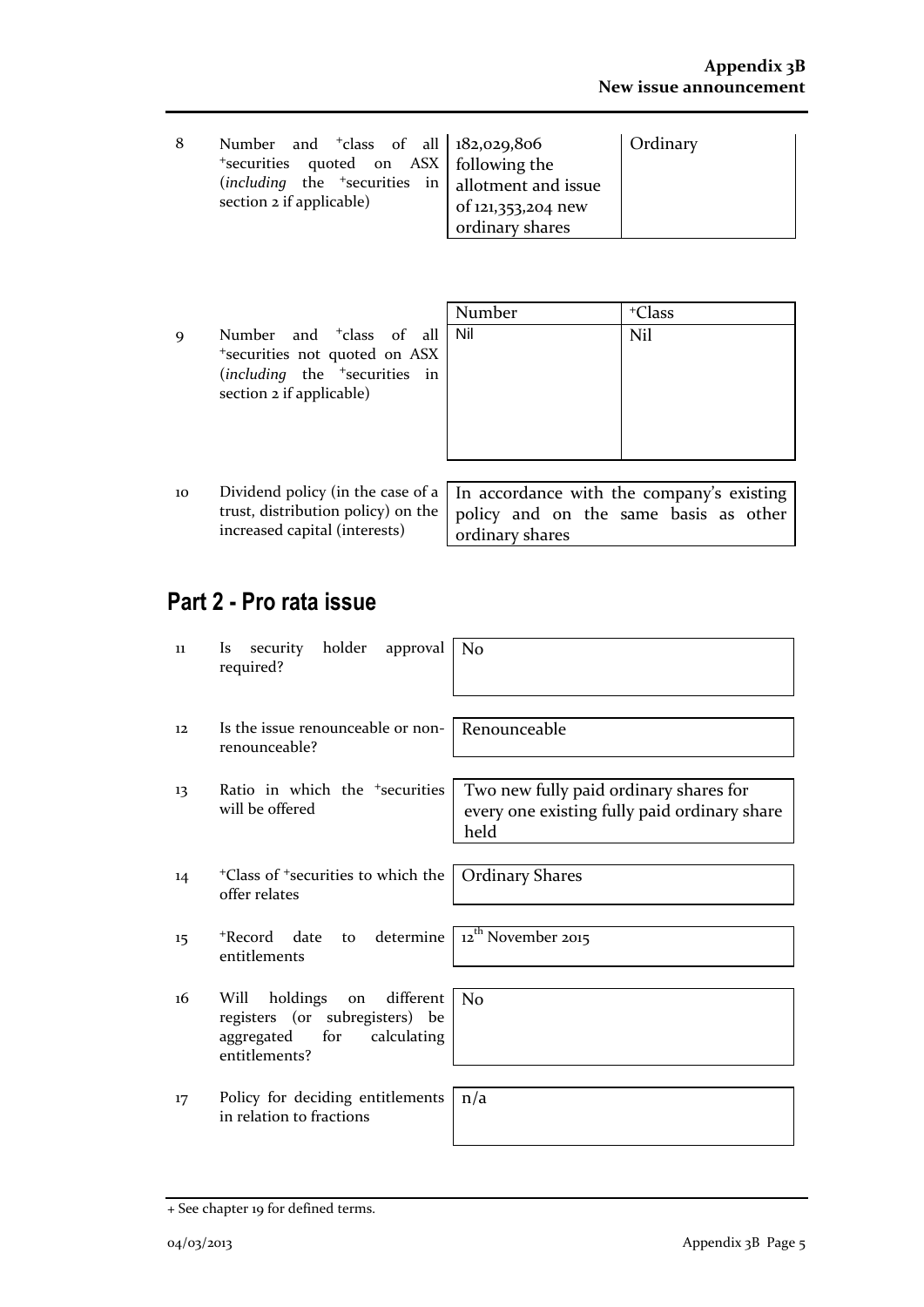| 8 | Number and $\frac{1}{2}$ class of all $\frac{182,029,806}{2}$<br>*securities quoted on ASX following the<br>(including the $\frac{1}{2}$ securities in allotment and issue<br>section 2 if applicable) | of 121,353,204 new<br>ordinary shares | Ordinary |
|---|--------------------------------------------------------------------------------------------------------------------------------------------------------------------------------------------------------|---------------------------------------|----------|
|---|--------------------------------------------------------------------------------------------------------------------------------------------------------------------------------------------------------|---------------------------------------|----------|

|    |                                                                                                                                                | Number | <sup>+</sup> Class                    |
|----|------------------------------------------------------------------------------------------------------------------------------------------------|--------|---------------------------------------|
| 9  | Number and <sup>+</sup> class of all<br>*securities not quoted on ASX<br>(including the <sup>+</sup> securities in<br>section 2 if applicable) | Nil    | Nil                                   |
|    |                                                                                                                                                |        |                                       |
| 10 | Dividend policy (in the case of a $\vert$ In accordance with the company's existing<br>trust, distribution policy) on the                      |        | policy and on the same basis as other |

ordinary shares

## **Part 2 - Pro rata issue**

increased capital (interests)

| 11      | security holder approval<br><i>Is</i><br>required?                                                                      | No                                                                                             |
|---------|-------------------------------------------------------------------------------------------------------------------------|------------------------------------------------------------------------------------------------|
| 12      | Is the issue renounceable or non-<br>renounceable?                                                                      | l Renounceable                                                                                 |
| 13      | Ratio in which the <sup>+</sup> securities<br>will be offered                                                           | Two new fully paid ordinary shares for<br>every one existing fully paid ordinary share<br>held |
| 14      | <sup>+</sup> Class of <sup>+</sup> securities to which the   Ordinary Shares<br>offer relates                           |                                                                                                |
| $15 \,$ | +Record date<br>entitlements                                                                                            | to determine $\sqrt{12}$ <sup>th</sup> November 2015                                           |
| 16      | on different No<br>holdings<br>Will<br>registers (or subregisters) be<br>calculating<br>aggregated for<br>entitlements? |                                                                                                |
| 17      | Policy for deciding entitlements<br>in relation to fractions                                                            | n/a                                                                                            |

<sup>+</sup> See chapter 19 for defined terms.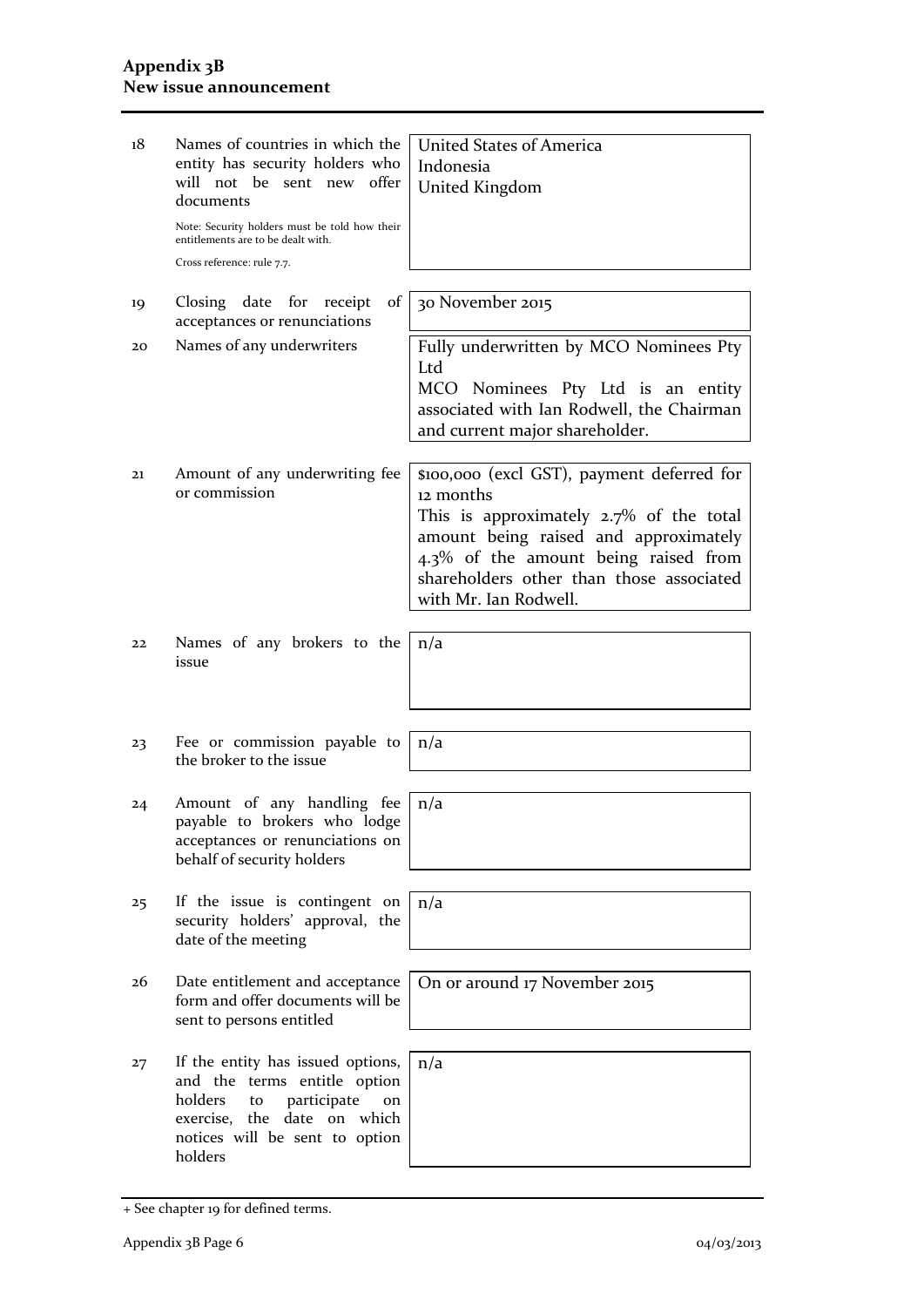| 18 | Names of countries in which the<br>entity has security holders who<br>will not be sent new offer<br>documents<br>Note: Security holders must be told how their<br>entitlements are to be dealt with.<br>Cross reference: rule 7.7. | <b>United States of America</b><br>Indonesia<br>United Kingdom                                                                                                                                                                                              |
|----|------------------------------------------------------------------------------------------------------------------------------------------------------------------------------------------------------------------------------------|-------------------------------------------------------------------------------------------------------------------------------------------------------------------------------------------------------------------------------------------------------------|
| 19 | of<br>Closing date for receipt<br>acceptances or renunciations                                                                                                                                                                     | 30 November 2015                                                                                                                                                                                                                                            |
| 20 | Names of any underwriters                                                                                                                                                                                                          | Fully underwritten by MCO Nominees Pty<br>Ltd<br>MCO Nominees Pty Ltd is an entity<br>associated with Ian Rodwell, the Chairman<br>and current major shareholder.                                                                                           |
| 21 | Amount of any underwriting fee<br>or commission                                                                                                                                                                                    | \$100,000 (excl GST), payment deferred for<br>12 months<br>This is approximately $2.7\%$ of the total<br>amount being raised and approximately<br>4.3% of the amount being raised from<br>shareholders other than those associated<br>with Mr. Ian Rodwell. |
| 22 | Names of any brokers to the<br>issue                                                                                                                                                                                               | n/a                                                                                                                                                                                                                                                         |
| 23 | Fee or commission payable to<br>the broker to the issue                                                                                                                                                                            | n/a                                                                                                                                                                                                                                                         |
| 24 | Amount of any handling fee<br>payable to brokers who lodge<br>acceptances or renunciations on<br>behalf of security holders                                                                                                        | n/a                                                                                                                                                                                                                                                         |
| 25 | If the issue is contingent on<br>security holders' approval, the<br>date of the meeting                                                                                                                                            | n/a                                                                                                                                                                                                                                                         |
| 26 | Date entitlement and acceptance<br>form and offer documents will be<br>sent to persons entitled                                                                                                                                    | On or around 17 November 2015                                                                                                                                                                                                                               |
| 27 | If the entity has issued options,<br>and the terms entitle option<br>holders<br>participate<br>to<br>on<br>exercise, the date on which<br>notices will be sent to option<br>holders                                                | n/a                                                                                                                                                                                                                                                         |

<sup>+</sup> See chapter 19 for defined terms.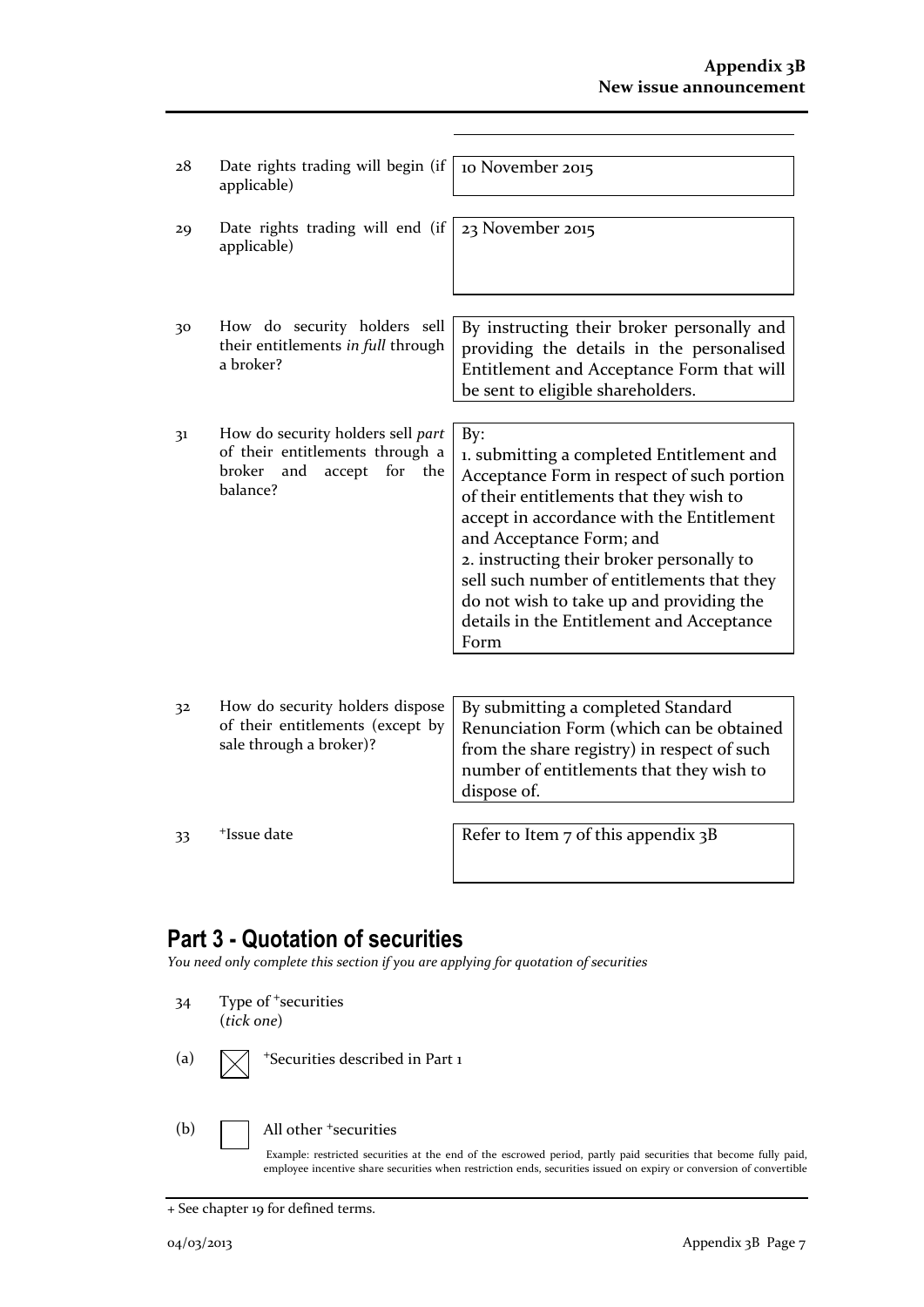| 28 | Date rights trading will begin (if<br>applicable)                                                                         | 10 November 2015                                                                                                                                                                                                                                                                                                                                                                                               |
|----|---------------------------------------------------------------------------------------------------------------------------|----------------------------------------------------------------------------------------------------------------------------------------------------------------------------------------------------------------------------------------------------------------------------------------------------------------------------------------------------------------------------------------------------------------|
| 29 | Date rights trading will end (if<br>applicable)                                                                           | 23 November 2015                                                                                                                                                                                                                                                                                                                                                                                               |
| 30 | How do security holders sell<br>their entitlements in full through<br>a broker?                                           | By instructing their broker personally and<br>providing the details in the personalised<br>Entitlement and Acceptance Form that will<br>be sent to eligible shareholders.                                                                                                                                                                                                                                      |
| 31 | How do security holders sell part<br>of their entitlements through a<br>broker<br>and<br>accept<br>for<br>the<br>balance? | By:<br>1. submitting a completed Entitlement and<br>Acceptance Form in respect of such portion<br>of their entitlements that they wish to<br>accept in accordance with the Entitlement<br>and Acceptance Form; and<br>2. instructing their broker personally to<br>sell such number of entitlements that they<br>do not wish to take up and providing the<br>details in the Entitlement and Acceptance<br>Form |
| 32 | How do security holders dispose<br>of their entitlements (except by<br>sale through a broker)?                            | By submitting a completed Standard<br>Renunciation Form (which can be obtained<br>from the share registry) in respect of such<br>number of entitlements that they wish to<br>dispose of.                                                                                                                                                                                                                       |
| 33 | <sup>+</sup> Issue date                                                                                                   | Refer to Item $7$ of this appendix $3B$                                                                                                                                                                                                                                                                                                                                                                        |

## **Part 3 - Quotation of securities**

*You need only complete this section if you are applying for quotation of securities*

- 34 Type of <sup>+</sup>securities (*tick one*)
- (a)  $\sqrt{\phantom{a}}$  +Securities described in Part 1
- 

(b) **All other +securities** 

Example: restricted securities at the end of the escrowed period, partly paid securities that become fully paid, employee incentive share securities when restriction ends, securities issued on expiry or conversion of convertible

<sup>+</sup> See chapter 19 for defined terms.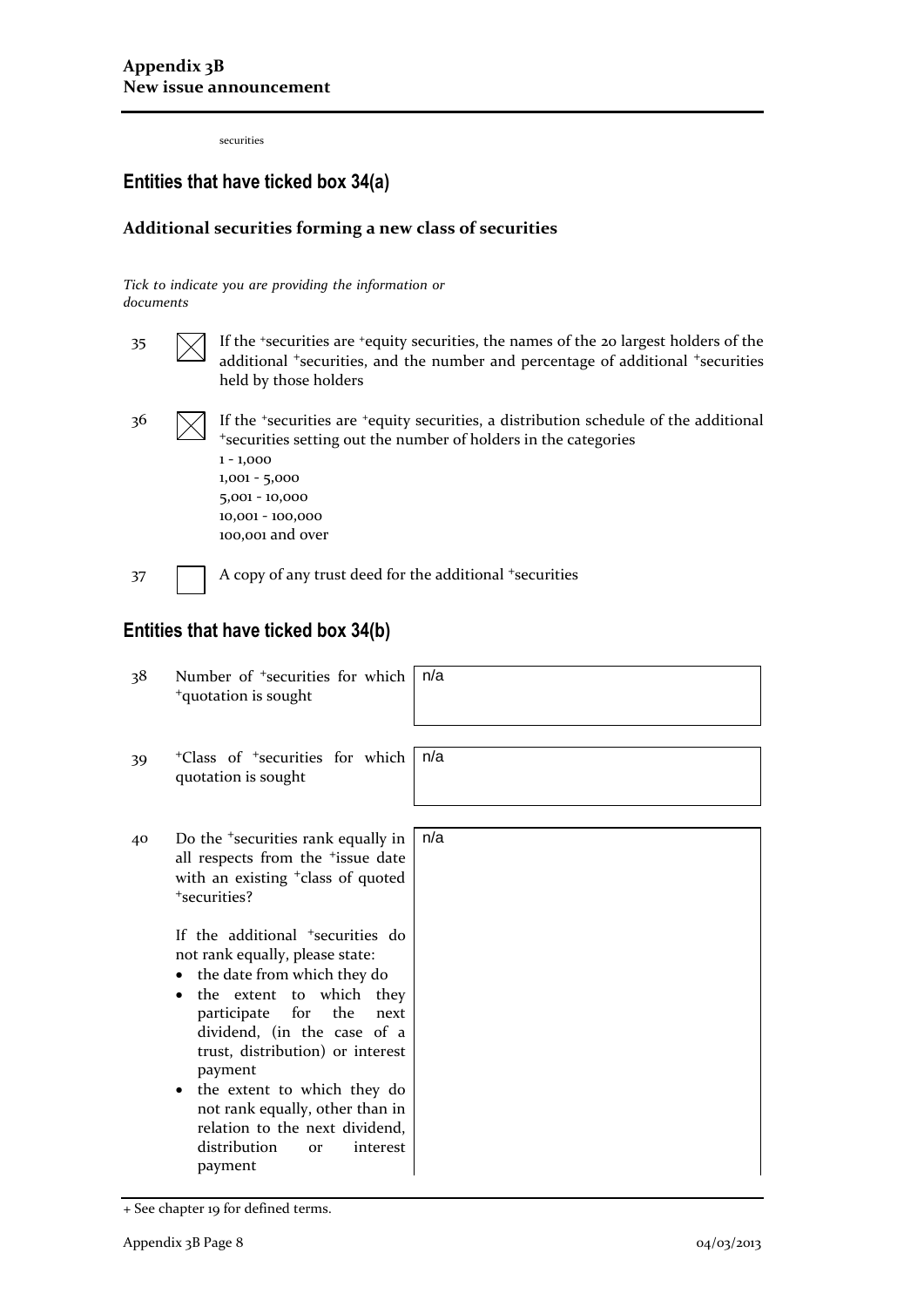securities

## **Entities that have ticked box 34(a)**

#### **Additional securities forming a new class of securities**

*Tick to indicate you are providing the information or documents*

 $35 \quad \boxed{\diagdown}$  If the <sup>+</sup>securities are <sup>+</sup>equity securities, the names of the 20 largest holders of the additional <sup>+</sup>securities, and the number and percentage of additional <sup>+</sup>securities held by those holders

 $36 \quad \boxed{\diagdown}$  If the <sup>+</sup>securities are <sup>+</sup>equity securities, a distribution schedule of the additional <sup>+</sup>securities setting out the number of holders in the categories

1 - 1,000 1,001 - 5,000 5,001 - 10,000 10,001 - 100,000 100,001 and over

37 A copy of any trust deed for the additional +securities

### **Entities that have ticked box 34(b)**

38 Number of <sup>+</sup>securities for which <sup>+</sup>quotation is sought n/a 39 <sup>+</sup>Class of <sup>+</sup>securities for which quotation is sought n/a 40 Do the <sup>+</sup>securities rank equally in all respects from the <sup>+</sup>issue date with an existing <sup>+</sup>class of quoted <sup>+</sup>securities? If the additional <sup>+</sup>securities do not rank equally, please state: • the date from which they do • the extent to which they participate for the next dividend, (in the case of a trust, distribution) or interest payment • the extent to which they do not rank equally, other than in relation to the next dividend, distribution or interest payment n/a

<sup>+</sup> See chapter 19 for defined terms.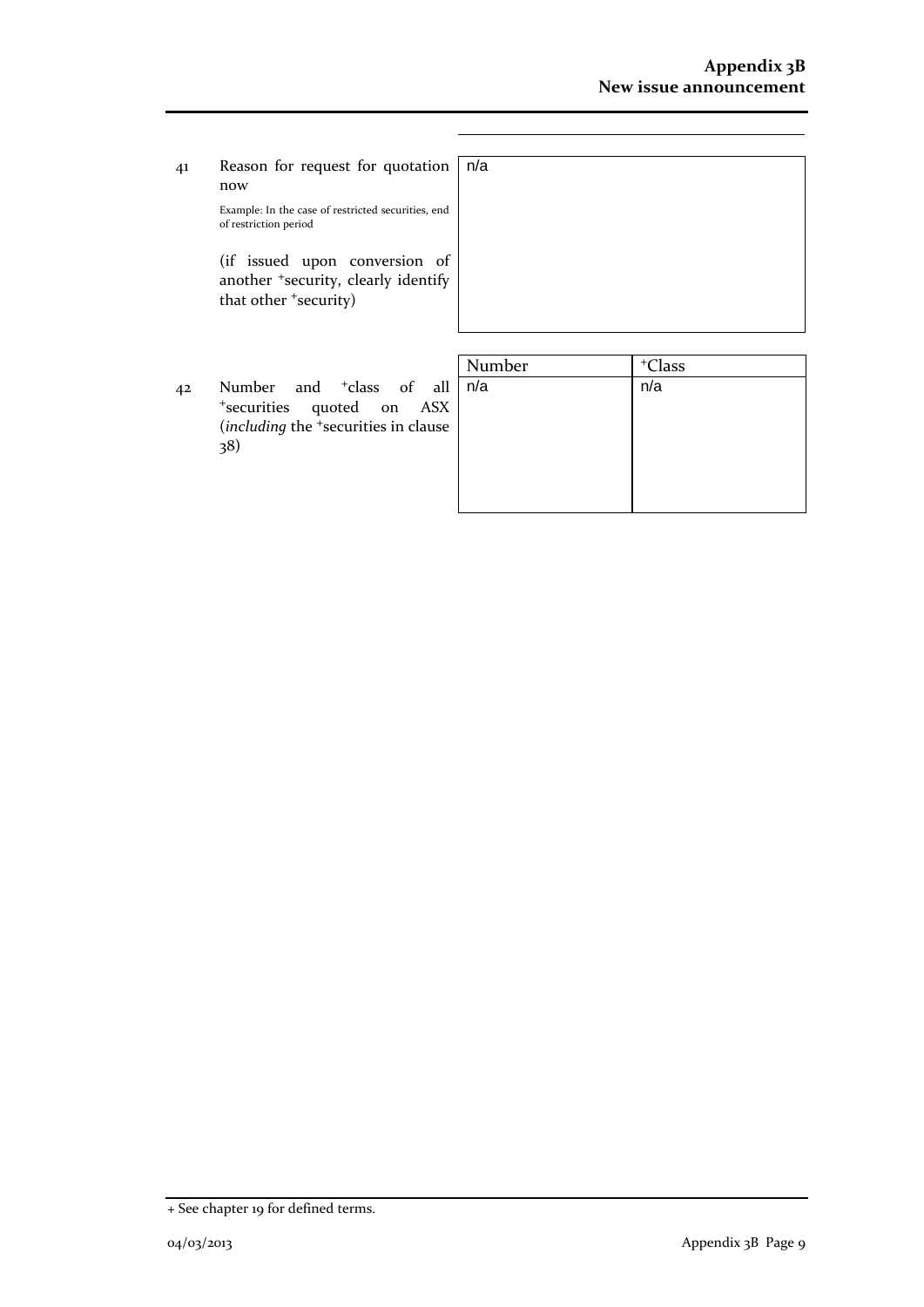41 Reason for request for quotation now

Example: In the case of restricted securities, end of restriction period

(if issued upon conversion of another <sup>+</sup>security, clearly identify that other <sup>+</sup>security)

| Į.            | n/a |
|---------------|-----|
|               |     |
|               |     |
| Ĩ.<br>l,<br>r |     |
|               |     |
|               |     |

42 Number and <sup>+</sup>class of all <sup>+</sup>securities quoted on ASX (*including* the <sup>+</sup>securities in clause 38)

| <sup>+</sup> Class |
|--------------------|
| n/a                |
|                    |
|                    |
|                    |
|                    |
|                    |
|                    |

<sup>+</sup> See chapter 19 for defined terms.